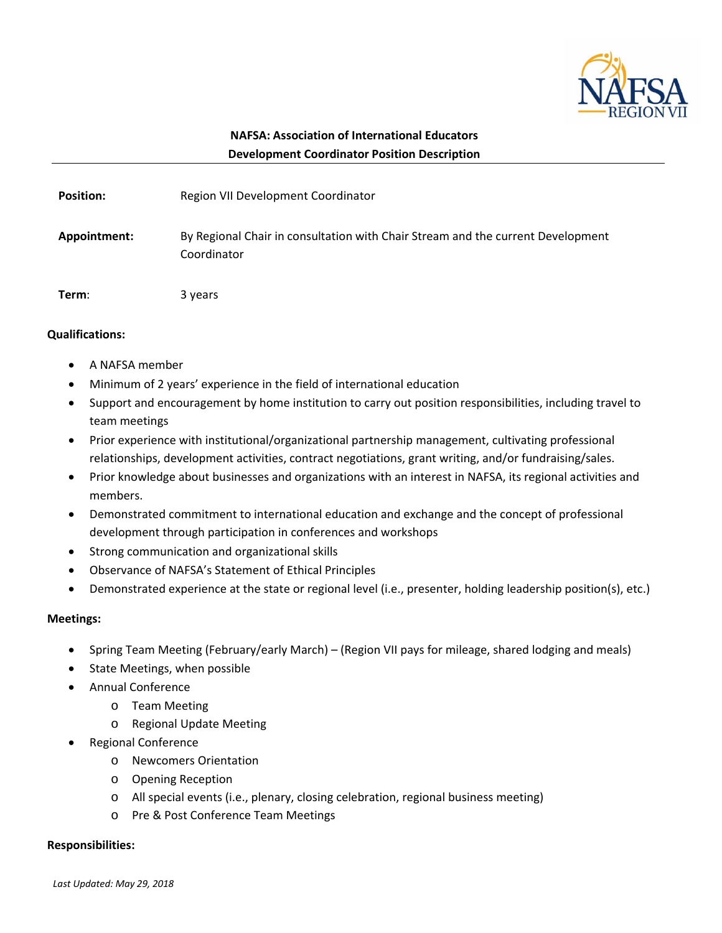

# **NAFSA: Association of International Educators Development Coordinator Position Description**

| <b>Position:</b> | Region VII Development Coordinator                                                             |
|------------------|------------------------------------------------------------------------------------------------|
| Appointment:     | By Regional Chair in consultation with Chair Stream and the current Development<br>Coordinator |
| Term:            | 3 years                                                                                        |

## **Qualifications:**

- A NAFSA member
- Minimum of 2 years' experience in the field of international education
- Support and encouragement by home institution to carry out position responsibilities, including travel to team meetings
- Prior experience with institutional/organizational partnership management, cultivating professional relationships, development activities, contract negotiations, grant writing, and/or fundraising/sales.
- Prior knowledge about businesses and organizations with an interest in NAFSA, its regional activities and members.
- Demonstrated commitment to international education and exchange and the concept of professional development through participation in conferences and workshops
- Strong communication and organizational skills
- Observance of NAFSA's Statement of Ethical Principles
- Demonstrated experience at the state or regional level (i.e., presenter, holding leadership position(s), etc.)

## **Meetings:**

- Spring Team Meeting (February/early March) (Region VII pays for mileage, shared lodging and meals)
- State Meetings, when possible
- Annual Conference
	- o Team Meeting
	- o Regional Update Meeting
- Regional Conference
	- o Newcomers Orientation
	- o Opening Reception
	- o All special events (i.e., plenary, closing celebration, regional business meeting)
	- o Pre & Post Conference Team Meetings

### **Responsibilities:**